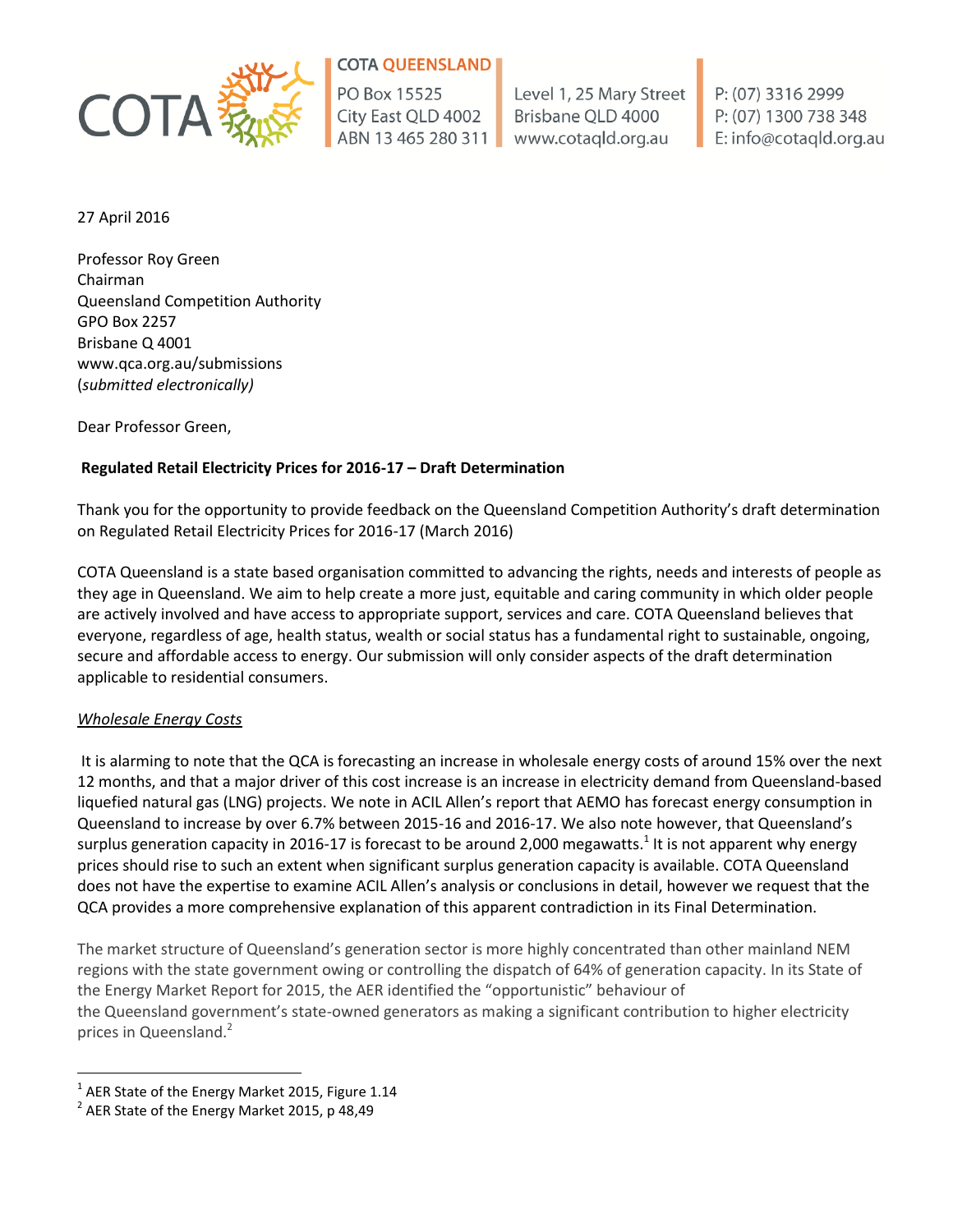

# **COTA QUEENSLAND**

PO Box 15525 City East QLD 4002 ABN 13 465 280 311

Level 1, 25 Mary Street Brisbane QLD 4000 www.cotagld.org.au

P: (07) 3316 2999 P: (07) 1300 738 348 E: info@cotaqld.org.au

27 April 2016

Professor Roy Green Chairman Queensland Competition Authority GPO Box 2257 Brisbane Q 4001 www.qca.org.au/submissions (*submitted electronically)*

Dear Professor Green,

## **Regulated Retail Electricity Prices for 2016-17 – Draft Determination**

Thank you for the opportunity to provide feedback on the Queensland Competition Authority's draft determination on Regulated Retail Electricity Prices for 2016-17 (March 2016)

COTA Queensland is a state based organisation committed to advancing the rights, needs and interests of people as they age in Queensland. We aim to help create a more just, equitable and caring community in which older people are actively involved and have access to appropriate support, services and care. COTA Queensland believes that everyone, regardless of age, health status, wealth or social status has a fundamental right to sustainable, ongoing, secure and affordable access to energy. Our submission will only consider aspects of the draft determination applicable to residential consumers.

## *Wholesale Energy Costs*

 $\overline{a}$ 

It is alarming to note that the QCA is forecasting an increase in wholesale energy costs of around 15% over the next 12 months, and that a major driver of this cost increase is an increase in electricity demand from Queensland-based liquefied natural gas (LNG) projects. We note in ACIL Allen's report that AEMO has forecast energy consumption in Queensland to increase by over 6.7% between 2015-16 and 2016-17. We also note however, that Queensland's surplus generation capacity in 2016-17 is forecast to be around 2,000 megawatts.<sup>1</sup> It is not apparent why energy prices should rise to such an extent when significant surplus generation capacity is available. COTA Queensland does not have the expertise to examine ACIL Allen's analysis or conclusions in detail, however we request that the QCA provides a more comprehensive explanation of this apparent contradiction in its Final Determination.

The market structure of Queensland's generation sector is more highly concentrated than other mainland NEM regions with the state government owing or controlling the dispatch of 64% of generation capacity. In its State of the Energy Market Report for 2015, the AER identified the "opportunistic" behaviour of the Queensland government's state-owned generators as making a significant contribution to higher electricity prices in Queensland. 2

 $^{1}$  AER State of the Energy Market 2015, Figure 1.14

 $2$  AER State of the Energy Market 2015, p 48,49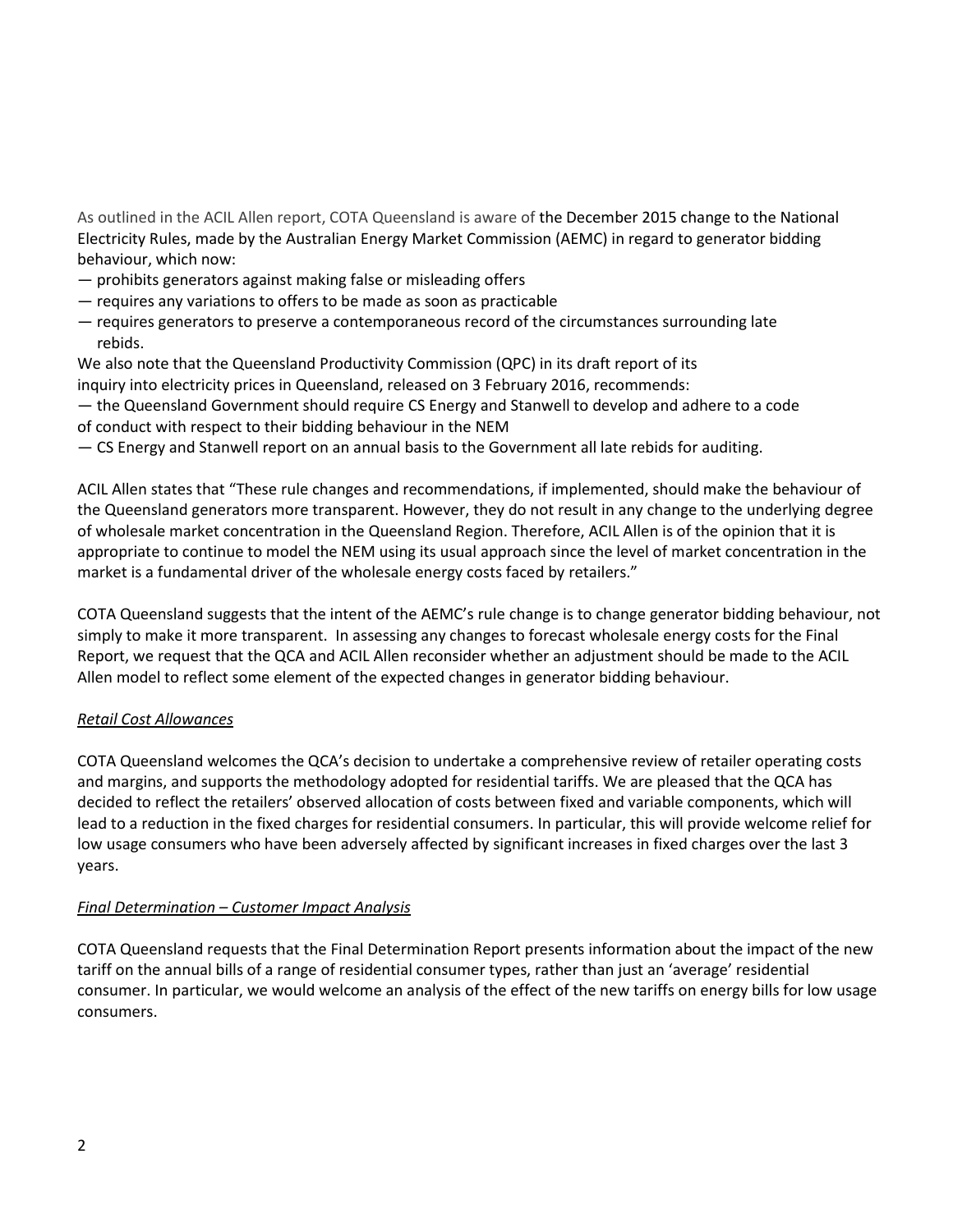As outlined in the ACIL Allen report, COTA Queensland is aware of the December 2015 change to the National Electricity Rules, made by the Australian Energy Market Commission (AEMC) in regard to generator bidding behaviour, which now:

- prohibits generators against making false or misleading offers
- requires any variations to offers to be made as soon as practicable
- requires generators to preserve a contemporaneous record of the circumstances surrounding late rebids.

We also note that the Queensland Productivity Commission (QPC) in its draft report of its inquiry into electricity prices in Queensland, released on 3 February 2016, recommends:

- the Queensland Government should require CS Energy and Stanwell to develop and adhere to a code of conduct with respect to their bidding behaviour in the NEM
- CS Energy and Stanwell report on an annual basis to the Government all late rebids for auditing.

ACIL Allen states that "These rule changes and recommendations, if implemented, should make the behaviour of the Queensland generators more transparent. However, they do not result in any change to the underlying degree of wholesale market concentration in the Queensland Region. Therefore, ACIL Allen is of the opinion that it is appropriate to continue to model the NEM using its usual approach since the level of market concentration in the market is a fundamental driver of the wholesale energy costs faced by retailers."

COTA Queensland suggests that the intent of the AEMC's rule change is to change generator bidding behaviour, not simply to make it more transparent. In assessing any changes to forecast wholesale energy costs for the Final Report, we request that the QCA and ACIL Allen reconsider whether an adjustment should be made to the ACIL Allen model to reflect some element of the expected changes in generator bidding behaviour.

### *Retail Cost Allowances*

COTA Queensland welcomes the QCA's decision to undertake a comprehensive review of retailer operating costs and margins, and supports the methodology adopted for residential tariffs. We are pleased that the QCA has decided to reflect the retailers' observed allocation of costs between fixed and variable components, which will lead to a reduction in the fixed charges for residential consumers. In particular, this will provide welcome relief for low usage consumers who have been adversely affected by significant increases in fixed charges over the last 3 years.

### *Final Determination – Customer Impact Analysis*

COTA Queensland requests that the Final Determination Report presents information about the impact of the new tariff on the annual bills of a range of residential consumer types, rather than just an 'average' residential consumer. In particular, we would welcome an analysis of the effect of the new tariffs on energy bills for low usage consumers.